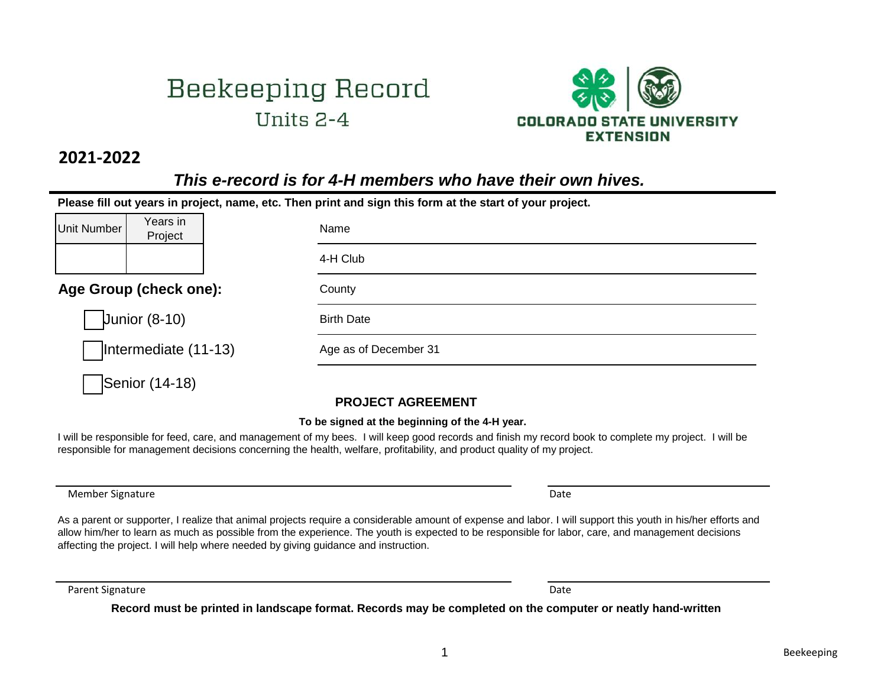# **Beekeeping Record** Units  $2-4$

#### **2021-2022**

#### *This e-record is for 4-H members who have their own hives.*

| Please fill out years in project, name, etc. Then print and sign this form at the start of your project. |                |  |                       |
|----------------------------------------------------------------------------------------------------------|----------------|--|-----------------------|
| Years in<br><b>Unit Number</b><br>Project                                                                |                |  | Name                  |
|                                                                                                          |                |  | 4-H Club              |
| Age Group (check one):                                                                                   |                |  | County                |
| <b>Junior (8-10)</b>                                                                                     |                |  | <b>Birth Date</b>     |
| $Intermediate (11-13)$                                                                                   |                |  | Age as of December 31 |
|                                                                                                          | Senior (14-18) |  |                       |

#### **PROJECT AGREEMENT**

#### **To be signed at the beginning of the 4-H year.**

I will be responsible for feed, care, and management of my bees. I will keep good records and finish my record book to complete my project. I will be responsible for management decisions concerning the health, welfare, profitability, and product quality of my project.

Member Signature

As a parent or supporter, I realize that animal projects require a considerable amount of expense and labor. I will support this youth in his/her efforts and allow him/her to learn as much as possible from the experience. The youth is expected to be responsible for labor, care, and management decisions affecting the project. I will help where needed by giving guidance and instruction.

Parent Signature Date Date of the Date of the United States of the Date of the Date of the Date of the Date of the Date of the Date of the Date of the Date of the Date of the Date of the Date of the Date of the Date of the

**Record must be printed in landscape format. Records may be completed on the computer or neatly hand-written**

Date

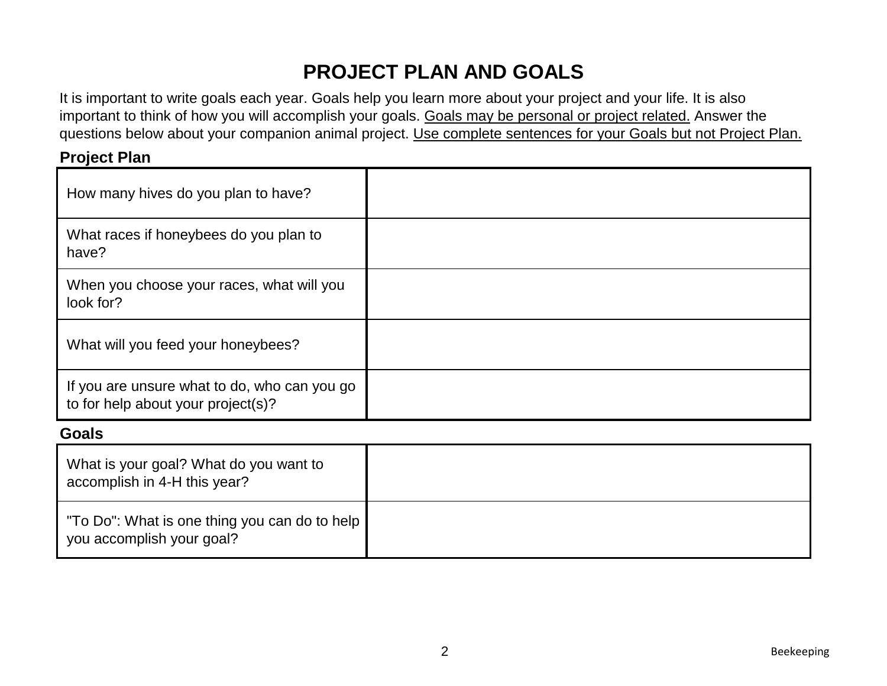## **PROJECT PLAN AND GOALS**

It is important to write goals each year. Goals help you learn more about your project and your life. It is also important to think of how you will accomplish your goals. Goals may be personal or project related. Answer the questions below about your companion animal project. Use complete sentences for your Goals but not Project Plan.

#### **Project Plan**

| How many hives do you plan to have?                                                |  |
|------------------------------------------------------------------------------------|--|
| What races if honeybees do you plan to<br>have?                                    |  |
| When you choose your races, what will you<br>look for?                             |  |
| What will you feed your honeybees?                                                 |  |
| If you are unsure what to do, who can you go<br>to for help about your project(s)? |  |

#### **Goals**

| What is your goal? What do you want to<br>accomplish in 4-H this year?       |  |
|------------------------------------------------------------------------------|--|
| "To Do": What is one thing you can do to help  <br>you accomplish your goal? |  |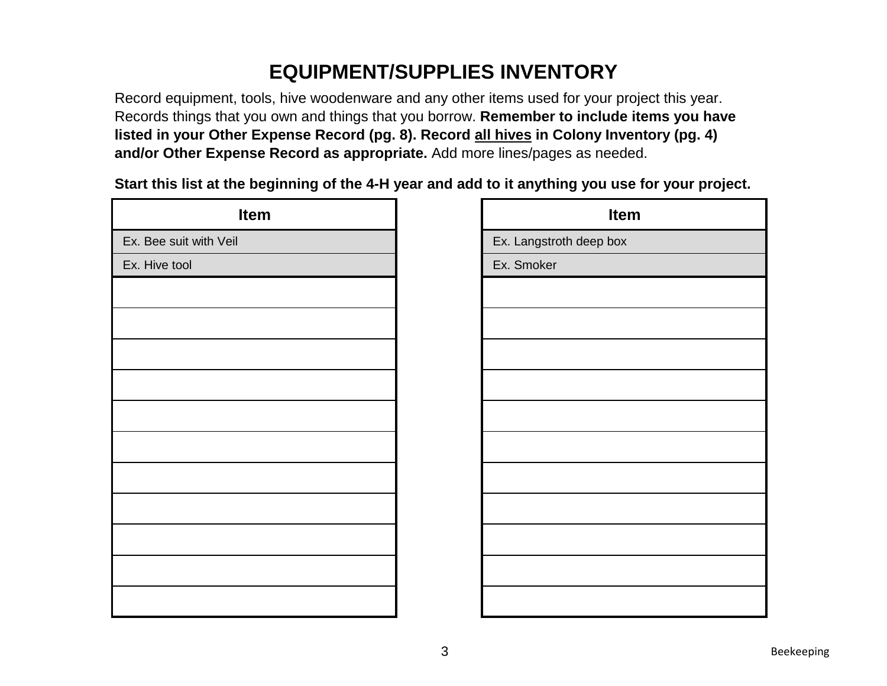## **EQUIPMENT/SUPPLIES INVENTORY**

Record equipment, tools, hive woodenware and any other items used for your project this year. Records things that you own and things that you borrow. **Remember to include items you have listed in your Other Expense Record (pg. 8). Record all hives in Colony Inventory (pg. 4) and/or Other Expense Record as appropriate.** Add more lines/pages as needed.

**Start this list at the beginning of the 4-H year and add to it anything you use for your project.**

| Item                   | Item                    |
|------------------------|-------------------------|
| Ex. Bee suit with Veil | Ex. Langstroth deep box |
| Ex. Hive tool          | Ex. Smoker              |
|                        |                         |
|                        |                         |
|                        |                         |
|                        |                         |
|                        |                         |
|                        |                         |
|                        |                         |
|                        |                         |
|                        |                         |
|                        |                         |
|                        |                         |

| <b>Item</b>             |
|-------------------------|
| Ex. Langstroth deep box |
| Ex. Smoker              |
|                         |
|                         |
|                         |
|                         |
|                         |
|                         |
|                         |
|                         |
|                         |
|                         |
|                         |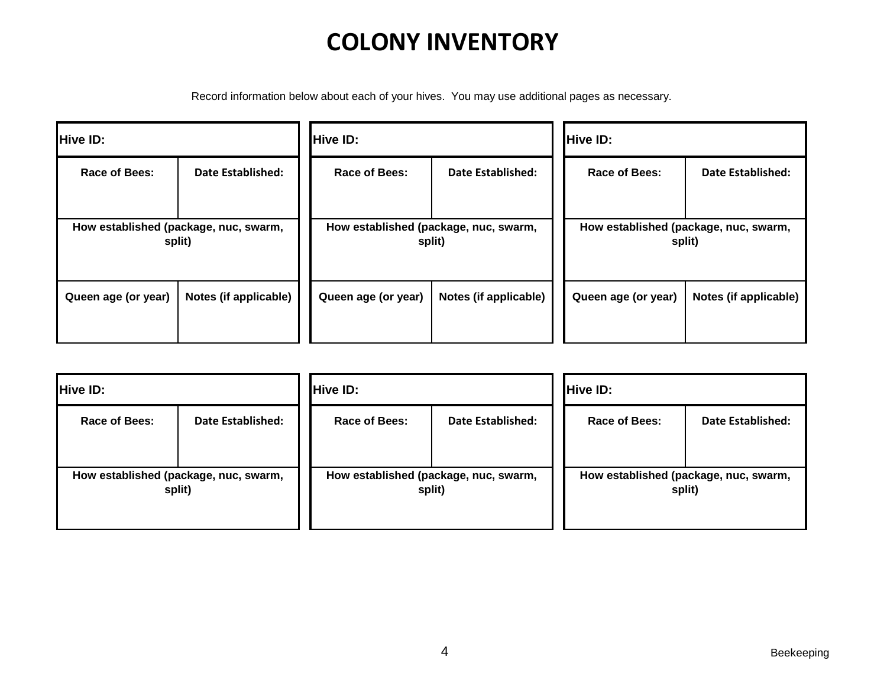# **COLONY INVENTORY**

Record information below about each of your hives. You may use additional pages as necessary.

| Hive ID:                                        |                       | Hive ID:                                        |                          | Hive ID:                                        |                       |
|-------------------------------------------------|-----------------------|-------------------------------------------------|--------------------------|-------------------------------------------------|-----------------------|
| Race of Bees:                                   | Date Established:     | Race of Bees:                                   | <b>Date Established:</b> | Race of Bees:                                   | Date Established:     |
| How established (package, nuc, swarm,<br>split) |                       | How established (package, nuc, swarm,<br>split) |                          | How established (package, nuc, swarm,<br>split) |                       |
| Queen age (or year)                             | Notes (if applicable) | Queen age (or year)                             | Notes (if applicable)    | Queen age (or year)                             | Notes (if applicable) |

| Hive ID:      |                                                 | Hive ID:                                        |                          | <b>Hive ID:</b> |                                                 |
|---------------|-------------------------------------------------|-------------------------------------------------|--------------------------|-----------------|-------------------------------------------------|
| Race of Bees: | <b>Date Established:</b>                        | Race of Bees:                                   | <b>Date Established:</b> | Race of Bees:   | Date Established:                               |
|               | How established (package, nuc, swarm,<br>split) | How established (package, nuc, swarm,<br>split) |                          |                 | How established (package, nuc, swarm,<br>split) |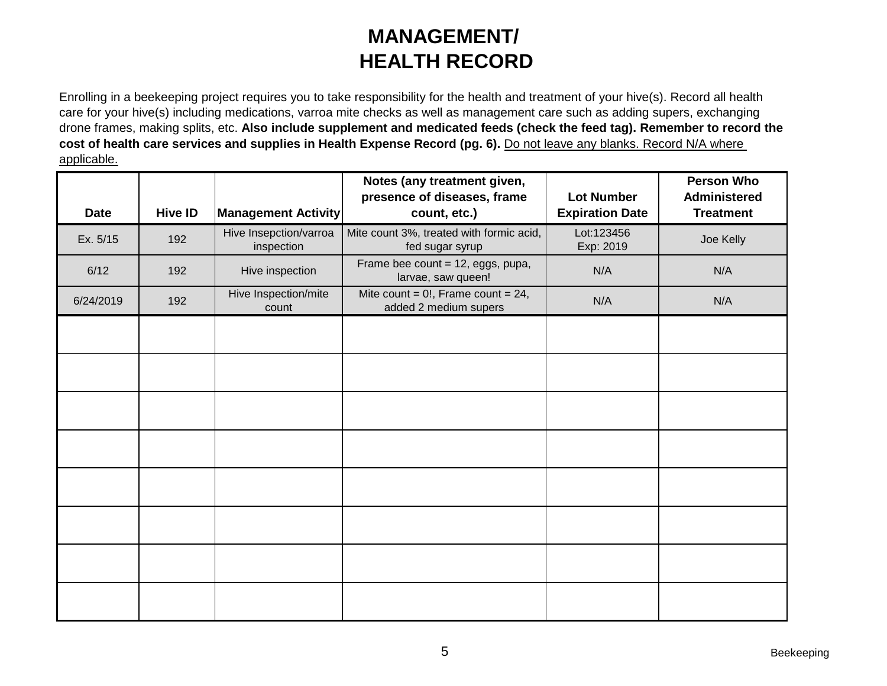## **MANAGEMENT/ HEALTH RECORD**

Enrolling in a beekeeping project requires you to take responsibility for the health and treatment of your hive(s). Record all health care for your hive(s) including medications, varroa mite checks as well as management care such as adding supers, exchanging drone frames, making splits, etc. **Also include supplement and medicated feeds (check the feed tag). Remember to record the cost of health care services and supplies in Health Expense Record (pg. 6).** Do not leave any blanks. Record N/A where applicable.

| <b>Date</b> | <b>Hive ID</b> | <b>Management Activity</b>           | Notes (any treatment given,<br>presence of diseases, frame<br>count, etc.) | <b>Lot Number</b><br><b>Expiration Date</b> | <b>Person Who</b><br><b>Administered</b><br><b>Treatment</b> |
|-------------|----------------|--------------------------------------|----------------------------------------------------------------------------|---------------------------------------------|--------------------------------------------------------------|
| Ex. 5/15    | 192            | Hive Insepction/varroa<br>inspection | Mite count 3%, treated with formic acid,<br>fed sugar syrup                | Lot:123456<br>Exp: 2019                     | Joe Kelly                                                    |
| 6/12        | 192            | Hive inspection                      | Frame bee count = 12, eggs, pupa,<br>larvae, saw queen!                    | N/A                                         | N/A                                                          |
| 6/24/2019   | 192            | Hive Inspection/mite<br>count        | Mite count = $0!$ , Frame count = 24,<br>added 2 medium supers             | N/A                                         | N/A                                                          |
|             |                |                                      |                                                                            |                                             |                                                              |
|             |                |                                      |                                                                            |                                             |                                                              |
|             |                |                                      |                                                                            |                                             |                                                              |
|             |                |                                      |                                                                            |                                             |                                                              |
|             |                |                                      |                                                                            |                                             |                                                              |
|             |                |                                      |                                                                            |                                             |                                                              |
|             |                |                                      |                                                                            |                                             |                                                              |
|             |                |                                      |                                                                            |                                             |                                                              |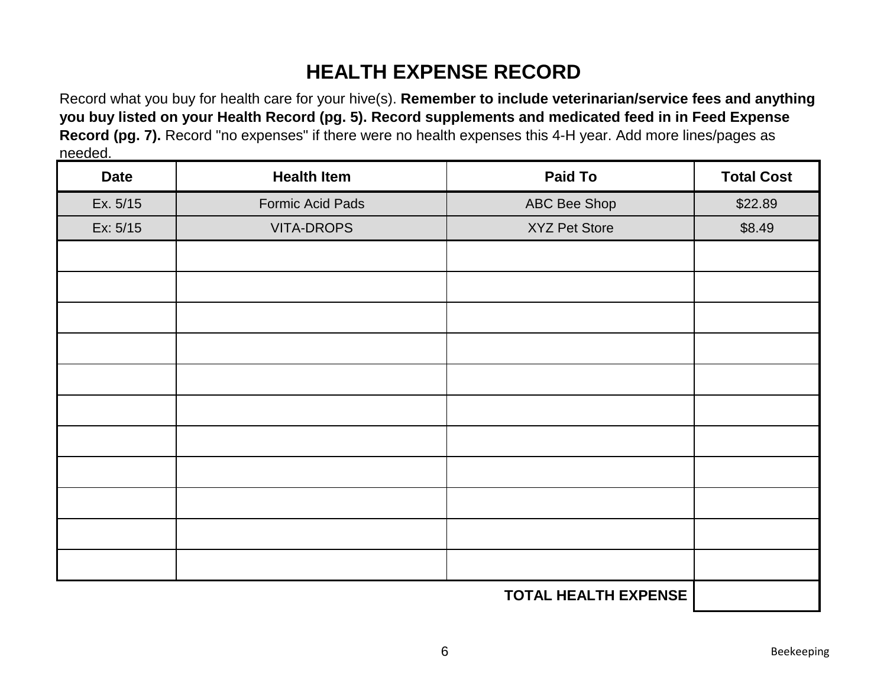## **HEALTH EXPENSE RECORD**

Record what you buy for health care for your hive(s). **Remember to include veterinarian/service fees and anything you buy listed on your Health Record (pg. 5). Record supplements and medicated feed in in Feed Expense Record (pg. 7).** Record "no expenses" if there were no health expenses this 4-H year. Add more lines/pages as needed.

| <b>Date</b> | <b>Health Item</b> | <b>Paid To</b>              | <b>Total Cost</b> |
|-------------|--------------------|-----------------------------|-------------------|
| Ex. 5/15    | Formic Acid Pads   | ABC Bee Shop                | \$22.89           |
| Ex: 5/15    | <b>VITA-DROPS</b>  | <b>XYZ Pet Store</b>        | \$8.49            |
|             |                    |                             |                   |
|             |                    |                             |                   |
|             |                    |                             |                   |
|             |                    |                             |                   |
|             |                    |                             |                   |
|             |                    |                             |                   |
|             |                    |                             |                   |
|             |                    |                             |                   |
|             |                    |                             |                   |
|             |                    |                             |                   |
|             |                    |                             |                   |
|             |                    | <b>TOTAL HEALTH EXPENSE</b> |                   |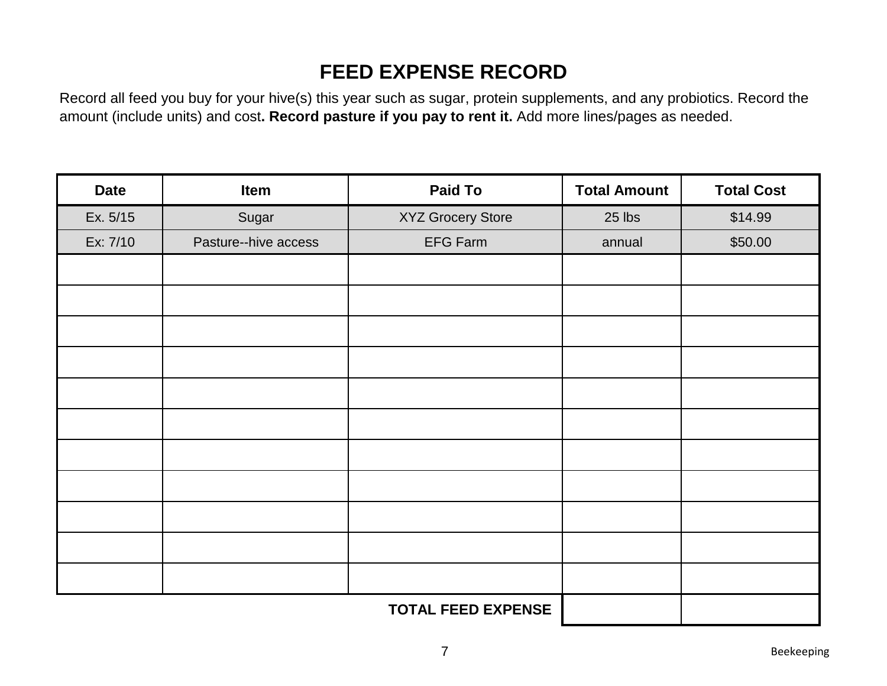## **FEED EXPENSE RECORD**

Record all feed you buy for your hive(s) this year such as sugar, protein supplements, and any probiotics. Record the amount (include units) and cost**. Record pasture if you pay to rent it.** Add more lines/pages as needed.

| <b>Date</b> | Item                 | <b>Paid To</b>            | <b>Total Amount</b> | <b>Total Cost</b> |
|-------------|----------------------|---------------------------|---------------------|-------------------|
| Ex. 5/15    | Sugar                | <b>XYZ Grocery Store</b>  | 25 lbs              | \$14.99           |
| Ex: 7/10    | Pasture--hive access | <b>EFG Farm</b>           | annual              | \$50.00           |
|             |                      |                           |                     |                   |
|             |                      |                           |                     |                   |
|             |                      |                           |                     |                   |
|             |                      |                           |                     |                   |
|             |                      |                           |                     |                   |
|             |                      |                           |                     |                   |
|             |                      |                           |                     |                   |
|             |                      |                           |                     |                   |
|             |                      |                           |                     |                   |
|             |                      |                           |                     |                   |
|             |                      |                           |                     |                   |
|             |                      | <b>TOTAL FEED EXPENSE</b> |                     |                   |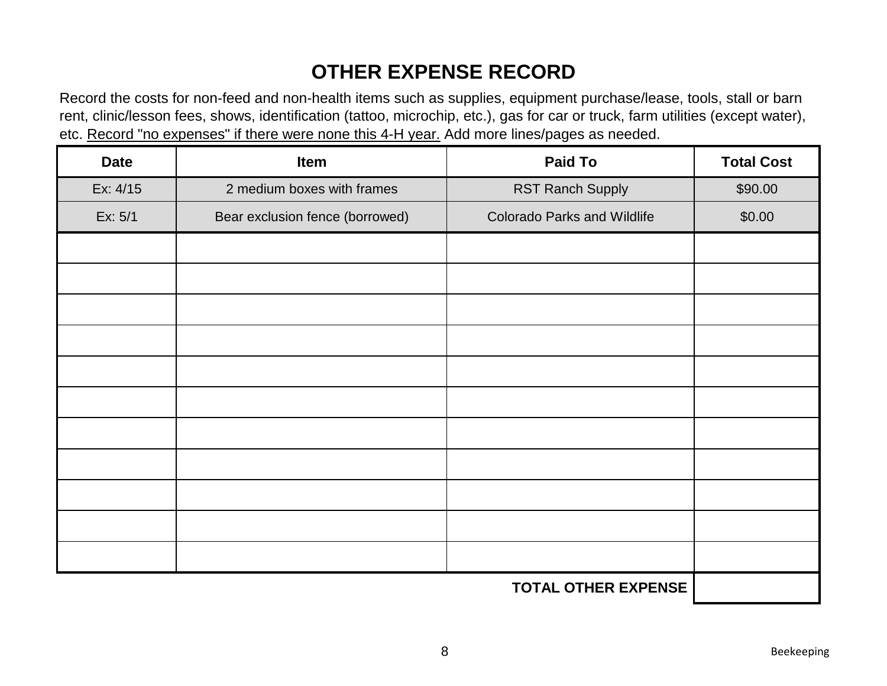## **OTHER EXPENSE RECORD**

Record the costs for non-feed and non-health items such as supplies, equipment purchase/lease, tools, stall or barn rent, clinic/lesson fees, shows, identification (tattoo, microchip, etc.), gas for car or truck, farm utilities (except water), etc. Record "no expenses" if there were none this 4-H year. Add more lines/pages as needed.

| <b>Date</b> | Item                            | <b>Paid To</b>                     | <b>Total Cost</b> |
|-------------|---------------------------------|------------------------------------|-------------------|
| Ex: 4/15    | 2 medium boxes with frames      | <b>RST Ranch Supply</b>            | \$90.00           |
| Ex: 5/1     | Bear exclusion fence (borrowed) | <b>Colorado Parks and Wildlife</b> | \$0.00            |
|             |                                 |                                    |                   |
|             |                                 |                                    |                   |
|             |                                 |                                    |                   |
|             |                                 |                                    |                   |
|             |                                 |                                    |                   |
|             |                                 |                                    |                   |
|             |                                 |                                    |                   |
|             |                                 |                                    |                   |
|             |                                 |                                    |                   |
|             |                                 |                                    |                   |
|             |                                 |                                    |                   |
|             |                                 | <b>TOTAL OTHER EXPENSE</b>         |                   |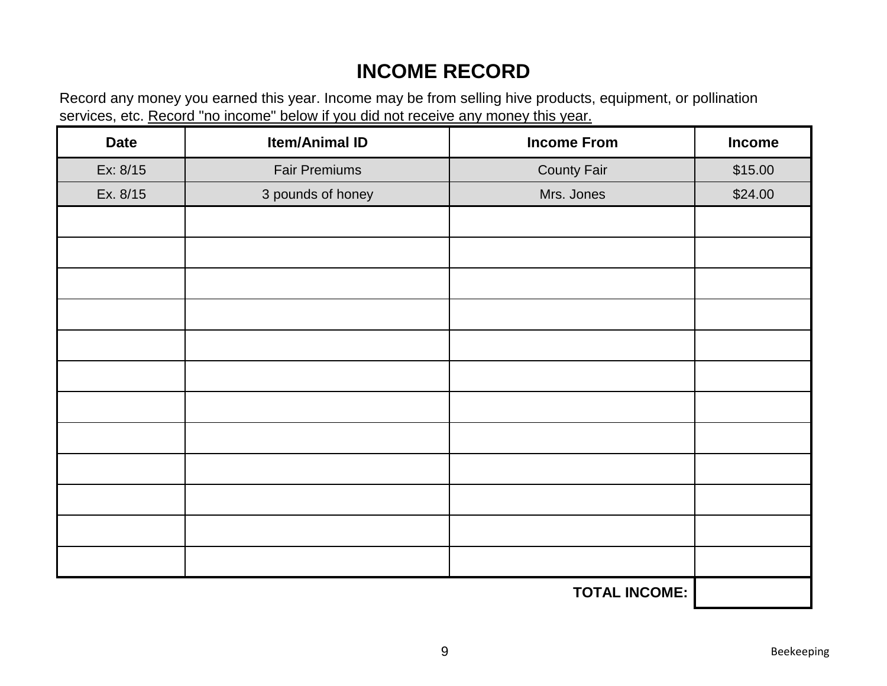### **INCOME RECORD**

Record any money you earned this year. Income may be from selling hive products, equipment, or pollination services, etc. Record "no income" below if you did not receive any money this year.

| <b>Date</b> | <b>Item/Animal ID</b> | <b>Income From</b>   | Income  |
|-------------|-----------------------|----------------------|---------|
| Ex: 8/15    | <b>Fair Premiums</b>  | <b>County Fair</b>   | \$15.00 |
| Ex. 8/15    | 3 pounds of honey     | Mrs. Jones           | \$24.00 |
|             |                       |                      |         |
|             |                       |                      |         |
|             |                       |                      |         |
|             |                       |                      |         |
|             |                       |                      |         |
|             |                       |                      |         |
|             |                       |                      |         |
|             |                       |                      |         |
|             |                       |                      |         |
|             |                       |                      |         |
|             |                       |                      |         |
|             |                       |                      |         |
|             |                       | <b>TOTAL INCOME:</b> |         |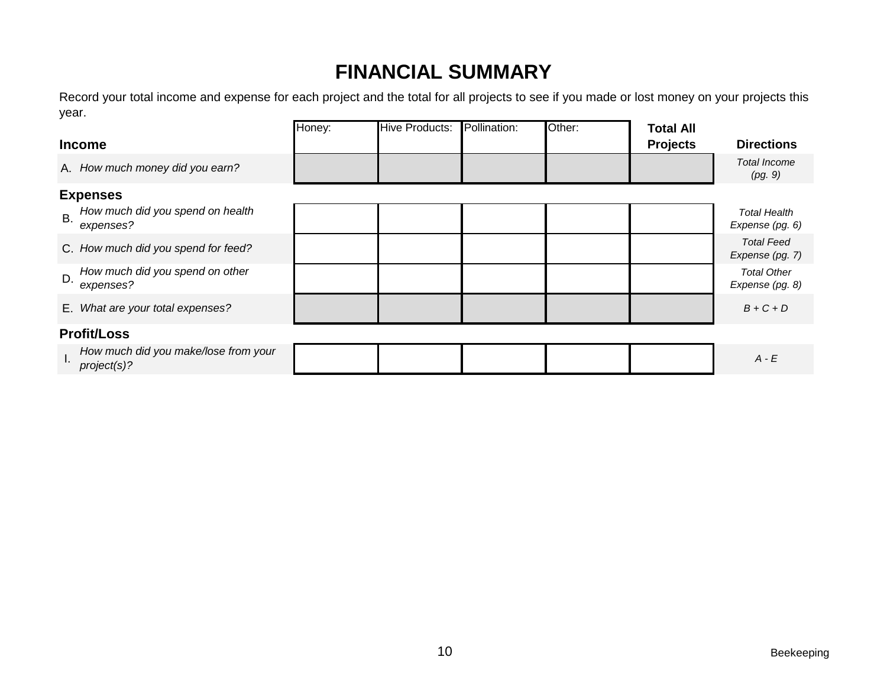### **FINANCIAL SUMMARY**

Record your total income and expense for each project and the total for all projects to see if you made or lost money on your projects this year.

|                    |                                                     | Honey: | <b>Hive Products:</b> | Pollination: | Other: | <b>Total All</b> |                                        |
|--------------------|-----------------------------------------------------|--------|-----------------------|--------------|--------|------------------|----------------------------------------|
| <b>Income</b>      |                                                     |        |                       |              |        | <b>Projects</b>  | <b>Directions</b>                      |
|                    | A. How much money did you earn?                     |        |                       |              |        |                  | <b>Total Income</b><br>(pg. 9)         |
| <b>Expenses</b>    |                                                     |        |                       |              |        |                  |                                        |
| <b>B.</b>          | How much did you spend on health<br>expenses?       |        |                       |              |        |                  | <b>Total Health</b><br>Expense (pg. 6) |
|                    | C. How much did you spend for feed?                 |        |                       |              |        |                  | <b>Total Feed</b><br>Expense (pg. 7)   |
| D.                 | How much did you spend on other<br>expenses?        |        |                       |              |        |                  | <b>Total Other</b><br>Expense (pg. 8)  |
|                    | E. What are your total expenses?                    |        |                       |              |        |                  | $B+C+D$                                |
| <b>Profit/Loss</b> |                                                     |        |                       |              |        |                  |                                        |
|                    | How much did you make/lose from your<br>project(s)? |        |                       |              |        |                  | $A - E$                                |
|                    |                                                     |        |                       |              |        |                  |                                        |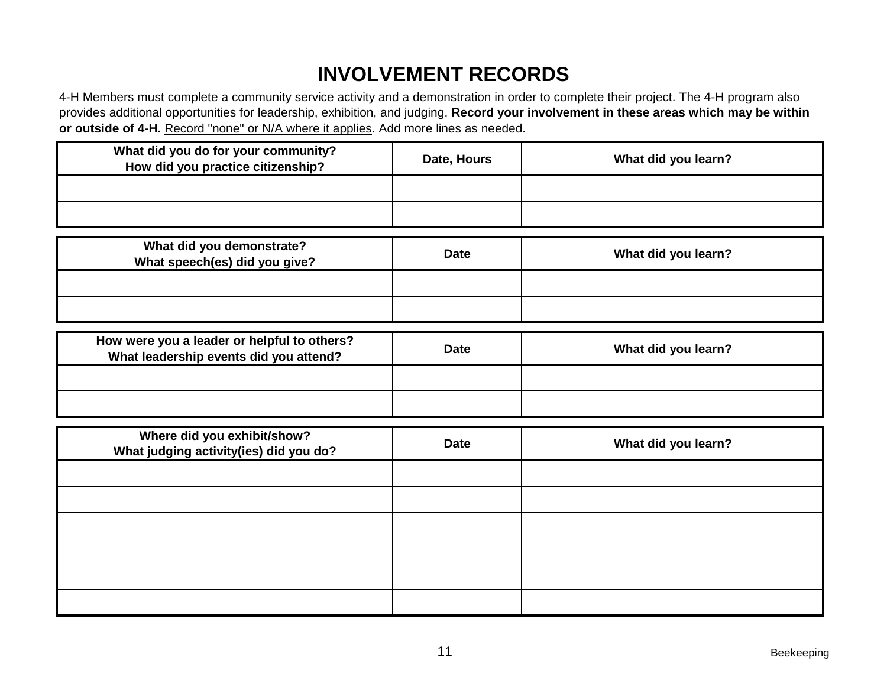#### **INVOLVEMENT RECORDS**

4-H Members must complete a community service activity and a demonstration in order to complete their project. The 4-H program also provides additional opportunities for leadership, exhibition, and judging. **Record your involvement in these areas which may be within or outside of 4-H.** Record "none" or N/A where it applies. Add more lines as needed.

| What did you do for your community?<br>How did you practice citizenship?              | Date, Hours | What did you learn? |
|---------------------------------------------------------------------------------------|-------------|---------------------|
|                                                                                       |             |                     |
| What did you demonstrate?<br>What speech(es) did you give?                            | <b>Date</b> | What did you learn? |
|                                                                                       |             |                     |
| How were you a leader or helpful to others?<br>What leadership events did you attend? | <b>Date</b> | What did you learn? |
|                                                                                       |             |                     |
| Where did you exhibit/show?<br>What judging activity(ies) did you do?                 | <b>Date</b> | What did you learn? |
|                                                                                       |             |                     |
|                                                                                       |             |                     |
|                                                                                       |             |                     |
|                                                                                       |             |                     |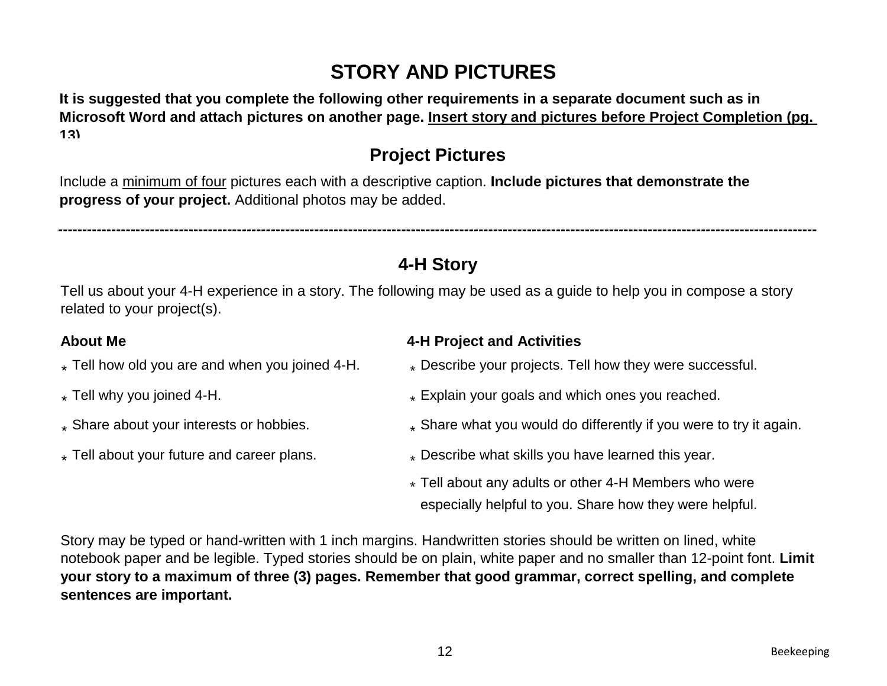## **STORY AND PICTURES**

**It is suggested that you complete the following other requirements in a separate document such as in Microsoft Word and attach pictures on another page. Insert story and pictures before Project Completion (pg. 13)**

#### **Project Pictures**

Include a minimum of four pictures each with a descriptive caption. **Include pictures that demonstrate the progress of your project.** Additional photos may be added.

#### **4-H Story**

**--------------------------------------------------------------------------------------------------------------------------------------------------------------**

Tell us about your 4-H experience in a story. The following may be used as a guide to help you in compose a story related to your project(s).

- 
- 
- 
- 

#### **About Me 4-H Project and Activities**

- \* Tell how old you are and when you joined 4-H. <br>\* Describe your projects. Tell how they were successful.
- \* Tell why you joined 4-H. \* \* \* \* \* Explain your goals and which ones you reached.
- \* Share about your interests or hobbies. \* \* Share what you would do differently if you were to try it again.
- \* Tell about your future and career plans. \* \* Describe what skills you have learned this year.
	- \* Tell about any adults or other 4-H Members who were especially helpful to you. Share how they were helpful.

Story may be typed or hand-written with 1 inch margins. Handwritten stories should be written on lined, white notebook paper and be legible. Typed stories should be on plain, white paper and no smaller than 12-point font. **Limit your story to a maximum of three (3) pages. Remember that good grammar, correct spelling, and complete sentences are important.**